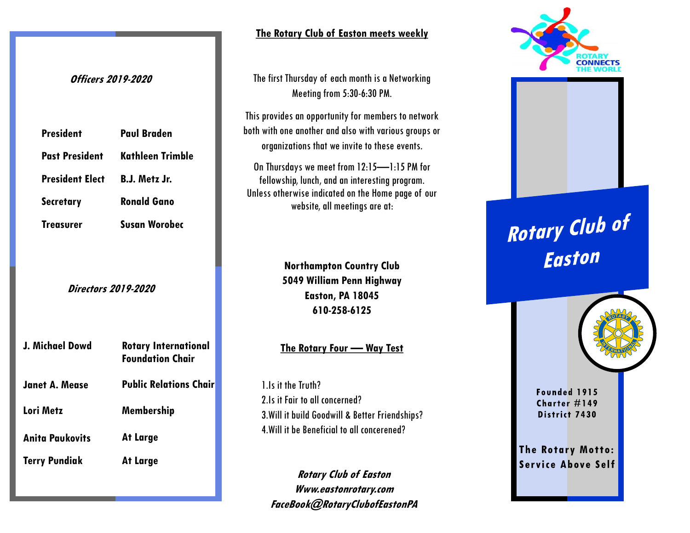### **Officers 2019-2020**

| <b>President</b>       | <b>Paul Braden</b>      |
|------------------------|-------------------------|
| <b>Past President</b>  | <b>Kathleen Trimble</b> |
| <b>President Elect</b> | B.J. Metz Jr.           |
| <b>Secretary</b>       | <b>Ronald Gano</b>      |
| <b>Treasurer</b>       | <b>Susan Worobec</b>    |
|                        |                         |

**Directors 2019-2020**

| J. Michael Dowd        | <b>Rotary International</b><br><b>Foundation Chair</b> |
|------------------------|--------------------------------------------------------|
| <b>Janet A. Mease</b>  | <b>Public Relations Chair</b>                          |
| Lori Metz              | Membership                                             |
| <b>Anita Paukovits</b> | At Large                                               |
| <b>Terry Pundiak</b>   | At Large                                               |

**The Rotary Club of Easton meets weekly**

The first Thursday of each month is a Networking Meeting from 5:30-6:30 PM.

This provides an opportunity for members to network both with one another and also with various groups or organizations that we invite to these events.

On Thursdays we meet from 12:15—1:15 PM for fellowship, lunch, and an interesting program. Unless otherwise indicated on the Home page of our website, all meetings are at:

> **Northampton Country Club 5049 William Penn Highway Easton, PA 18045 610-258-6125**

#### **The Rotary Four — Way Test**

1.Is it the Truth? 2.Is it Fair to all concerned? 3.Will it build Goodwill & Better Friendships? 4.Will it be Beneficial to all concerened?

**Rotary Club of Easton Www.eastonrotary.com FaceBook@RotaryClubofEastonPA**



# **Rotary Club of<br>Easton**

Founded 1915 Charter  $#149$ District 7430

**The Rotary Motto: Service Above Self**